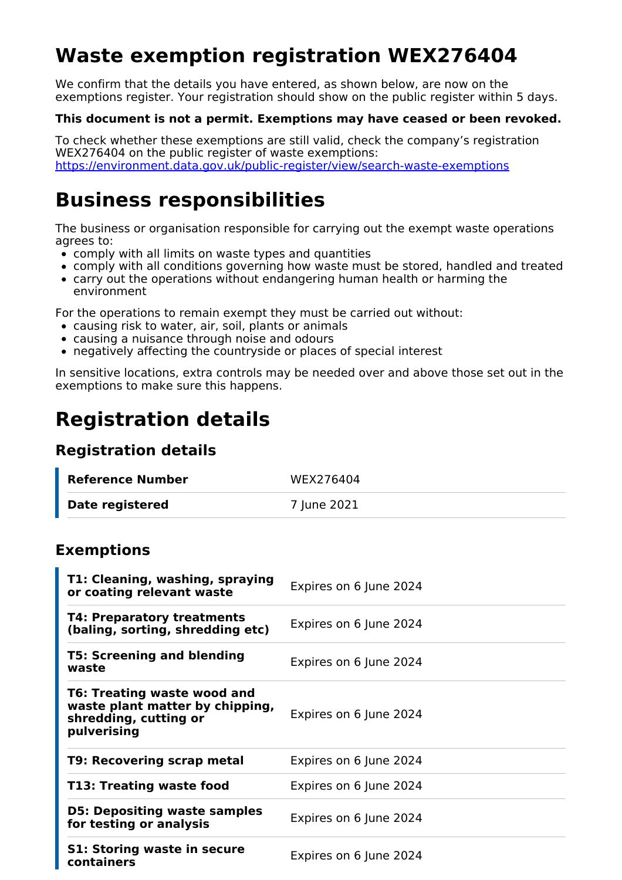# **Waste exemption registration WEX276404**

We confirm that the details you have entered, as shown below, are now on the exemptions register. Your registration should show on the public register within 5 days.

#### **This document is not a permit. Exemptions may have ceased or been revoked.**

To check whether these exemptions are still valid, check the company's registration WEX276404 on the public register of waste exemptions: <https://environment.data.gov.uk/public-register/view/search-waste-exemptions>

## **Business responsibilities**

The business or organisation responsible for carrying out the exempt waste operations agrees to:

- comply with all limits on waste types and quantities
- comply with all conditions governing how waste must be stored, handled and treated
- carry out the operations without endangering human health or harming the environment

For the operations to remain exempt they must be carried out without:

- causing risk to water, air, soil, plants or animals
- causing a nuisance through noise and odours
- negatively affecting the countryside or places of special interest

In sensitive locations, extra controls may be needed over and above those set out in the exemptions to make sure this happens.

## **Registration details**

#### **Registration details**

| Reference Number | WEX276404   |
|------------------|-------------|
| Date registered  | 7 June 2021 |

#### **Exemptions**

| T1: Cleaning, washing, spraying<br>or coating relevant waste                                           | Expires on 6 June 2024 |
|--------------------------------------------------------------------------------------------------------|------------------------|
| <b>T4: Preparatory treatments</b><br>(baling, sorting, shredding etc)                                  | Expires on 6 June 2024 |
| <b>T5: Screening and blending</b><br>waste                                                             | Expires on 6 June 2024 |
| T6: Treating waste wood and<br>waste plant matter by chipping,<br>shredding, cutting or<br>pulverising | Expires on 6 June 2024 |
| <b>T9: Recovering scrap metal</b>                                                                      | Expires on 6 June 2024 |
| T13: Treating waste food                                                                               | Expires on 6 June 2024 |
| <b>D5: Depositing waste samples</b><br>for testing or analysis                                         | Expires on 6 June 2024 |
| <b>S1: Storing waste in secure</b><br>containers                                                       | Expires on 6 June 2024 |